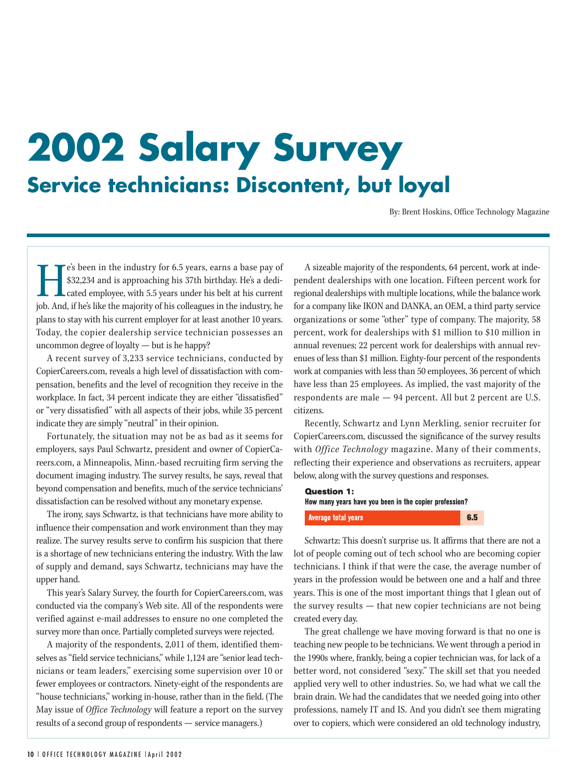# **2002 Salary Survey Service technicians: Discontent, but loyal**

By: Brent Hoskins, Office Technology Magazine

He's been in the industry for 6.5 years, earns a base pay of \$32,234 and is approaching his 37th birthday. He's a dedicated employee, with 5.5 years under his belt at his current job. And, if he's like the majority of his colleagues in the industry, he plans to stay with his current employer for at least another 10 years. Today, the copier dealership service technician possesses an uncommon degree of loyalty — but is he happy?

A recent survey of 3,233 service technicians, conducted by CopierCareers.com, reveals a high level of dissatisfaction with compensation, benefits and the level of recognition they receive in the workplace. In fact, 34 percent indicate they are either "dissatisfied" or "very dissatisfied" with all aspects of their jobs, while 35 percent indicate they are simply "neutral" in their opinion.

Fortunately, the situation may not be as bad as it seems for employers, says Paul Schwartz, president and owner of CopierCareers.com, a Minneapolis, Minn.-based recruiting firm serving the document imaging industry. The survey results, he says, reveal that beyond compensation and benefits, much of the service technicians' dissatisfaction can be resolved without any monetary expense.

The irony, says Schwartz, is that technicians have more ability to influence their compensation and work environment than they may realize. The survey results serve to confirm his suspicion that there is a shortage of new technicians entering the industry. With the law of supply and demand, says Schwartz, technicians may have the upper hand.

This year's Salary Survey, the fourth for CopierCareers.com, was conducted via the company's Web site. All of the respondents were verified against e-mail addresses to ensure no one completed the survey more than once. Partially completed surveys were rejected.

A majority of the respondents, 2,011 of them, identified themselves as "field service technicians," while 1,124 are "senior lead technicians or team leaders," exercising some supervision over 10 or fewer employees or contractors. Ninety-eight of the respondents are "house technicians," working in-house, rather than in the field. (The May issue of *Office Technology* will feature a report on the survey results of a second group of respondents — service managers.)

A sizeable majority of the respondents, 64 percent, work at independent dealerships with one location. Fifteen percent work for regional dealerships with multiple locations, while the balance work for a company like IKON and DANKA, an OEM, a third party service organizations or some "other" type of company. The majority, 58 percent, work for dealerships with \$1 million to \$10 million in annual revenues; 22 percent work for dealerships with annual revenues of less than \$1 million. Eighty-four percent of the respondents work at companies with less than 50 employees, 36 percent of which have less than 25 employees. As implied, the vast majority of the respondents are male — 94 percent. All but 2 percent are U.S. citizens.

Recently, Schwartz and Lynn Merkling, senior recruiter for CopierCareers.com, discussed the significance of the survey results with *Office Technology* magazine. Many of their comments, reflecting their experience and observations as recruiters, appear below, along with the survey questions and responses.

**Question 1:** How many years have you been in the copier profession?  $6.5$ **Average total years** 

Schwartz: This doesn't surprise us. It affirms that there are not a lot of people coming out of tech school who are becoming copier technicians. I think if that were the case, the average number of years in the profession would be between one and a half and three years. This is one of the most important things that I glean out of the survey results — that new copier technicians are not being created every day.

The great challenge we have moving forward is that no one is teaching new people to be technicians. We went through a period in the 1990s where, frankly, being a copier technician was, for lack of a better word, not considered "sexy." The skill set that you needed applied very well to other industries. So, we had what we call the brain drain. We had the candidates that we needed going into other professions, namely IT and IS. And you didn't see them migrating over to copiers, which were considered an old technology industry,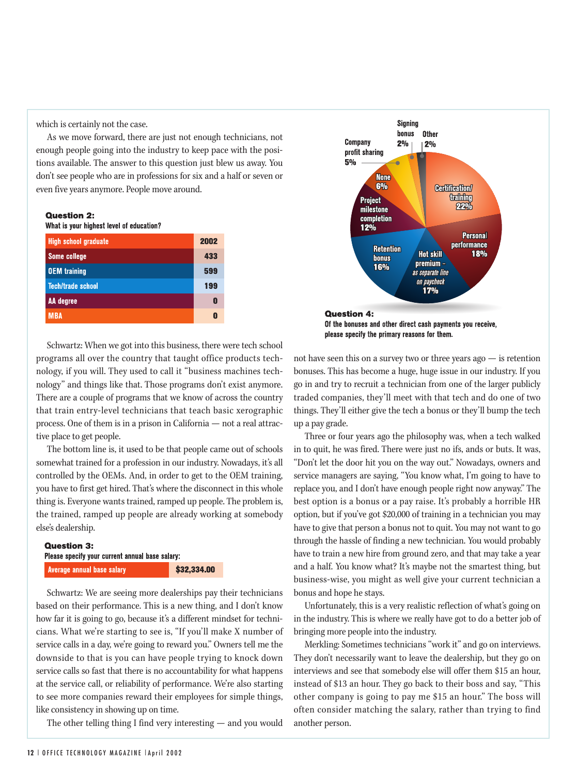which is certainly not the case.

As we move forward, there are just not enough technicians, not enough people going into the industry to keep pace with the positions available. The answer to this question just blew us away. You don't see people who are in professions for six and a half or seven or even five years anymore. People move around.

#### **Question 2:**

What is your highest level of education?

| <b>High school graduate</b> | 2002 |
|-----------------------------|------|
| <b>Some college</b>         | 433  |
| <b>OEM</b> training         | 599  |
| <b>Tech/trade school</b>    | 199  |
| AA degree                   | П    |
| <b>MBA</b>                  |      |

Schwartz: When we got into this business, there were tech school programs all over the country that taught office products technology, if you will. They used to call it "business machines technology" and things like that. Those programs don't exist anymore. There are a couple of programs that we know of across the country that train entry-level technicians that teach basic xerographic process. One of them is in a prison in California — not a real attractive place to get people.

The bottom line is, it used to be that people came out of schools somewhat trained for a profession in our industry. Nowadays, it's all controlled by the OEMs. And, in order to get to the OEM training, you have to first get hired. That's where the disconnect in this whole thing is. Everyone wants trained, ramped up people. The problem is, the trained, ramped up people are already working at somebody else's dealership.

# **Question 3:** Please specify your current annual base salary: **Average annual base salary**

\$32,334.00

Schwartz: We are seeing more dealerships pay their technicians based on their performance. This is a new thing, and I don't know how far it is going to go, because it's a different mindset for technicians. What we're starting to see is, "If you'll make X number of service calls in a day, we're going to reward you." Owners tell me the downside to that is you can have people trying to knock down service calls so fast that there is no accountability for what happens at the service call, or reliability of performance. We're also starting to see more companies reward their employees for simple things, like consistency in showing up on time.

The other telling thing I find very interesting — and you would



Of the bonuses and other direct cash payments you receive, please specify the primary reasons for them.

not have seen this on a survey two or three years ago  $-$  is retention bonuses. This has become a huge, huge issue in our industry. If you go in and try to recruit a technician from one of the larger publicly traded companies, they'll meet with that tech and do one of two things. They'll either give the tech a bonus or they'll bump the tech up a pay grade.

Three or four years ago the philosophy was, when a tech walked in to quit, he was fired. There were just no ifs, ands or buts. It was, "Don't let the door hit you on the way out." Nowadays, owners and service managers are saying, "You know what, I'm going to have to replace you, and I don't have enough people right now anyway." The best option is a bonus or a pay raise. It's probably a horrible HR option, but if you've got \$20,000 of training in a technician you may have to give that person a bonus not to quit. You may not want to go through the hassle of finding a new technician. You would probably have to train a new hire from ground zero, and that may take a year and a half. You know what? It's maybe not the smartest thing, but business-wise, you might as well give your current technician a bonus and hope he stays.

Unfortunately, this is a very realistic reflection of what's going on in the industry. This is where we really have got to do a better job of bringing more people into the industry.

Merkling: Sometimes technicians "work it" and go on interviews. They don't necessarily want to leave the dealership, but they go on interviews and see that somebody else will offer them \$15 an hour, instead of \$13 an hour. They go back to their boss and say, "This other company is going to pay me \$15 an hour." The boss will often consider matching the salary, rather than trying to find another person.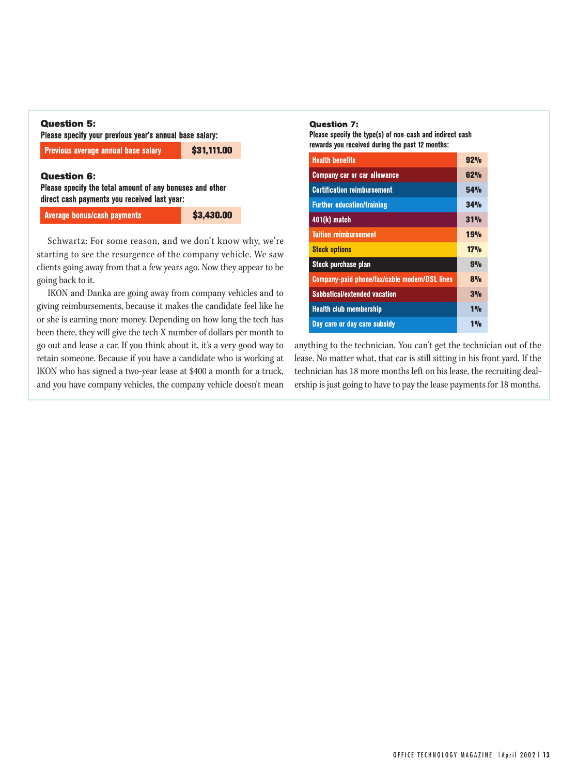# **Question 5:**

Please specify your previous year's annual base salary:

Previous average annual base salary

\$31.111.00

## **Question 6:**

Please specify the total amount of any bonuses and other direct cash payments you received last year:

**Average bonus/cash payments** 

\$3,430.00

Schwartz: For some reason, and we don't know why, we're starting to see the resurgence of the company vehicle. We saw clients going away from that a few years ago. Now they appear to be going back to it.

IKON and Danka are going away from company vehicles and to giving reimbursements, because it makes the candidate feel like he or she is earning more money. Depending on how long the tech has been there, they will give the tech X number of dollars per month to go out and lease a car. If you think about it, it's a very good way to retain someone. Because if you have a candidate who is working at IKON who has signed a two-year lease at \$400 a month for a truck, and you have company vehicles, the company vehicle doesn't mean

#### **Ouestion 7:**

Please specify the type(s) of non-cash and indirect cash rewards you received during the past 12 months:

| <b>Health benefits</b>                       | 92%             |
|----------------------------------------------|-----------------|
| <b>Company car or car allowance</b>          | 62%             |
| <b>Certification reimbursement</b>           | 54 <sub>%</sub> |
| <b>Further education/training</b>            | 34%             |
| $401(k)$ match                               | 31%             |
| <b>Tuition reimbursement</b>                 | 19%             |
| <b>Stock options</b>                         | 17%             |
| Stock purchase plan                          | 9%              |
| Company-paid phone/fax/cable modem/DSL lines | 8%              |
| <b>Sabbatical/extended vacation</b>          | 3%              |
| <b>Health club membership</b>                | 10 <sub>n</sub> |
| Day care or day care subsidy                 | 1 <sub>0</sub>  |

anything to the technician. You can't get the technician out of the lease. No matter what, that car is still sitting in his front vard. If the technician has 18 more months left on his lease, the recruiting dealership is just going to have to pay the lease payments for 18 months.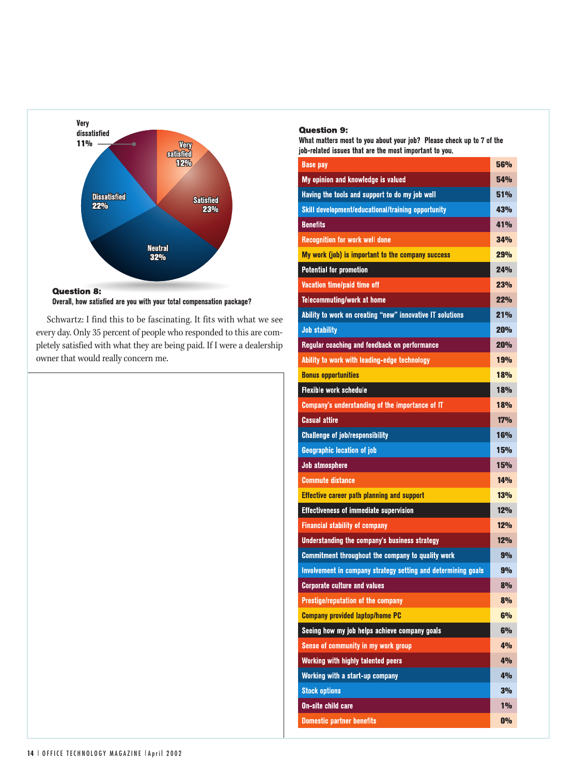

Overall, how satisfied are you with your total compensation package?

Schwartz: I find this to be fascinating. It fits with what we see every day. Only 35 percent of people who responded to this are completely satisfied with what they are being paid. If I were a dealership owner that would really concern me.

### **Question 9:**

What matters most to you about your job? Please check up to 7 of the job-related issues that are the most important to you.

| <b>Base pay</b>                                               | 56%             |
|---------------------------------------------------------------|-----------------|
| My opinion and knowledge is valued                            | 54 <sub>%</sub> |
| Having the tools and support to do my job well                | 51 <sub>%</sub> |
| Skill development/educational/training opportunity            | 43%             |
| <b>Benefits</b>                                               | 41 <sub>%</sub> |
| <b>Recognition for work well done</b>                         | 34%             |
| My work (job) is important to the company success             | 29%             |
| <b>Potential for promotion</b>                                | 24%             |
| Vacation time/paid time off                                   | 23%             |
| <b>Telecommuting/work at home</b>                             | 22%             |
| Ability to work on creating "new" innovative IT solutions     | 21%             |
| <b>Job stability</b>                                          | 20%             |
| Regular coaching and feedback on performance                  | 20%             |
| Ability to work with leading-edge technology                  | 19%             |
| <b>Bonus opportunities</b>                                    | 18%             |
| <b>Flexible work schedule</b>                                 | 18%             |
| Company's understanding of the importance of IT               | 18%             |
| Casual attire                                                 | 17%             |
| <b>Challenge of job/responsibility</b>                        | 16%             |
|                                                               |                 |
| <b>Geographic location of job</b>                             | 15%             |
| <b>Job atmosphere</b>                                         | 15%             |
| <b>Commute distance</b>                                       | 14%             |
| <b>Effective career path planning and support</b>             | 13%             |
| <b>Effectiveness of immediate supervision</b>                 | 12%             |
| <b>Financial stability of company</b>                         | 12%             |
| Understanding the company's business strategy                 | 12%             |
| Commitment throughout the company to quality work             | 9%              |
| Involvement in company strategy setting and determining goals | 9%              |
| <b>Corporate culture and values</b>                           | 8%              |
| Prestige/reputation of the company                            | 8%              |
| <b>Company provided laptop/home PC</b>                        | 6%              |
| Seeing how my job helps achieve company goals                 | 6%              |
| Sense of community in my work group                           | 4%              |
| Working with highly talented peers                            | 4%              |
| Working with a start-up company                               | 4%              |
| <b>Stock options</b>                                          | 3%              |
| On-site child care                                            | $1\%$           |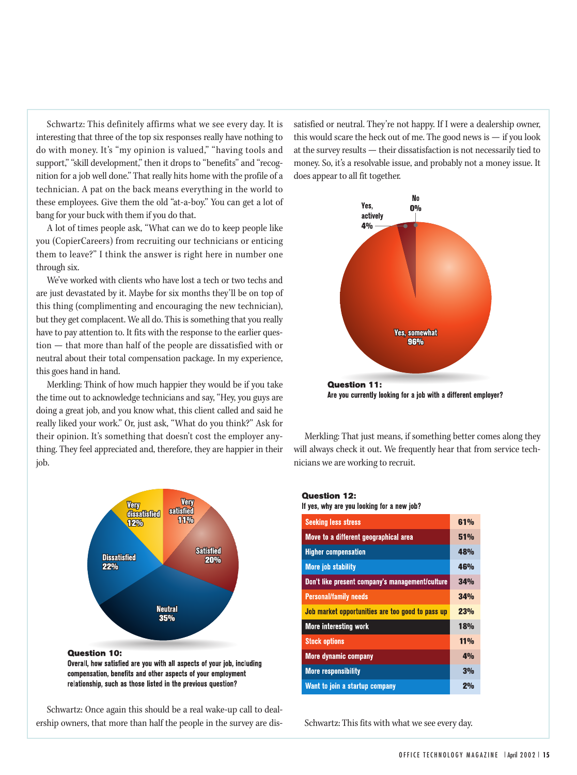Schwartz: This definitely affirms what we see every day. It is interesting that three of the top six responses really have nothing to do with money. It's "my opinion is valued," "having tools and support," "skill development," then it drops to "benefits" and "recognition for a job well done." That really hits home with the profile of a technician. A pat on the back means everything in the world to these employees. Give them the old "at-a-boy." You can get a lot of bang for your buck with them if you do that.

A lot of times people ask, "What can we do to keep people like you (CopierCareers) from recruiting our technicians or enticing them to leave?" I think the answer is right here in number one through six.

We've worked with clients who have lost a tech or two techs and are just devastated by it. Maybe for six months they'll be on top of this thing (complimenting and encouraging the new technician), but they get complacent. We all do. This is something that you really have to pay attention to. It fits with the response to the earlier question — that more than half of the people are dissatisfied with or neutral about their total compensation package. In my experience, this goes hand in hand.

Merkling: Think of how much happier they would be if you take the time out to acknowledge technicians and say, "Hey, you guys are doing a great job, and you know what, this client called and said he really liked your work." Or, just ask, "What do you think?" Ask for their opinion. It's something that doesn't cost the employer anything. They feel appreciated and, therefore, they are happier in their job.



compensation, benefits and other aspects of your employment

relationship, such as those listed in the previous question?

Schwartz: Once again this should be a real wake-up call to dealership owners, that more than half the people in the survey are dissatisfied or neutral. They're not happy. If I were a dealership owner, this would scare the heck out of me. The good news is  $-$  if you look at the survey results — their dissatisfaction is not necessarily tied to money. So, it's a resolvable issue, and probably not a money issue. It does appear to all fit together.



Are you currently looking for a job with a different employer?

Merkling: That just means, if something better comes along they will always check it out. We frequently hear that from service technicians we are working to recruit.

### **Question 12:**

If yes, why are you looking for a new job?

| <b>Seeking less stress</b>                       | 61%            |
|--------------------------------------------------|----------------|
| Move to a different geographical area            | 51%            |
| <b>Higher compensation</b>                       | 48%            |
| <b>More job stability</b>                        | 46%            |
| Don't like present company's management/culture  | 34%            |
| <b>Personal/family needs</b>                     | 34%            |
| Job market opportunities are too good to pass up | 23%            |
| <b>More</b> interesting work                     | 18%            |
| <b>Stock options</b>                             | 11%            |
| <b>More dynamic company</b>                      | 4%             |
| <b>More responsibility</b>                       | 3%             |
| Want to join a startup company                   | 2 <sub>0</sub> |

Schwartz: This fits with what we see every day.